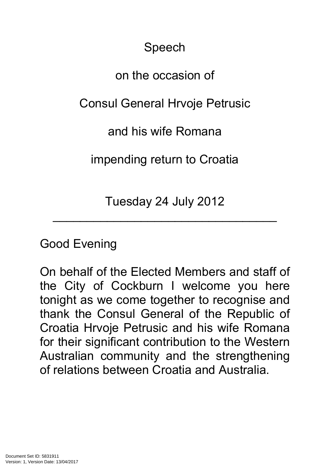Speech

## on the occasion of

## Consul General Hrvoje Petrusic

and his wife Romana

impending return to Croatia

Tuesday 24 July 2012

 $\mathcal{L}_\text{max}$  and  $\mathcal{L}_\text{max}$  and  $\mathcal{L}_\text{max}$  are the set of  $\mathcal{L}_\text{max}$ 

## Good Evening

On behalf of the Elected Members and staff of the City of Cockburn I welcome you here tonight as we come together to recognise and thank the Consul General of the Republic of Croatia Hrvoje Petrusic and his wife Romana for their significant contribution to the Western Australian community and the strengthening of relations between Croatia and Australia.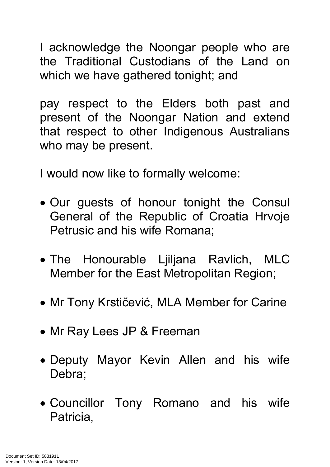I acknowledge the Noongar people who are the Traditional Custodians of the Land on which we have gathered tonight; and

pay respect to the Elders both past and present of the Noongar Nation and extend that respect to other Indigenous Australians who may be present.

I would now like to formally welcome:

- Our guests of honour tonight the Consul General of the Republic of Croatia Hrvoje Petrusic and his wife Romana;
- The Honourable Ljiljana Ravlich, MLC Member for the East Metropolitan Region;
- Mr Tony Krstičević, MLA Member for Carine
- Mr Ray Lees JP & Freeman
- Deputy Mayor Kevin Allen and his wife Debra;
- Councillor Tony Romano and his wife Patricia,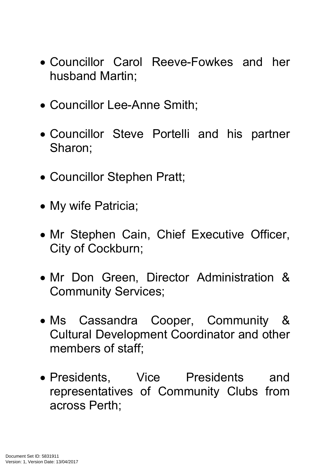- Councillor Carol Reeve-Fowkes and her husband Martin;
- Councillor Lee-Anne Smith;
- Councillor Steve Portelli and his partner Sharon;
- Councillor Stephen Pratt;
- My wife Patricia;
- Mr Stephen Cain, Chief Executive Officer, City of Cockburn;
- Mr Don Green, Director Administration & Community Services;
- Ms Cassandra Cooper, Community & Cultural Development Coordinator and other members of staff;
- Presidents, Vice Presidents and representatives of Community Clubs from across Perth;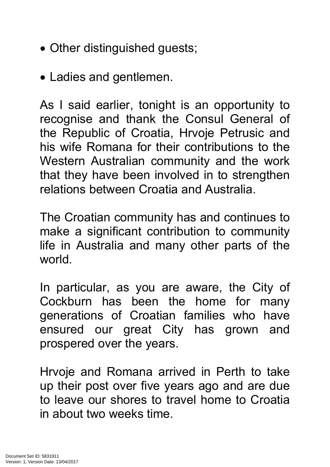- Other distinguished guests;
- Ladies and gentlemen.

As I said earlier, tonight is an opportunity to recognise and thank the Consul General of the Republic of Croatia, Hrvoje Petrusic and his wife Romana for their contributions to the Western Australian community and the work that they have been involved in to strengthen relations between Croatia and Australia.

The Croatian community has and continues to make a significant contribution to community life in Australia and many other parts of the world.

In particular, as you are aware, the City of Cockburn has been the home for many generations of Croatian families who have ensured our great City has grown and prospered over the years.

Hrvoje and Romana arrived in Perth to take up their post over five years ago and are due to leave our shores to travel home to Croatia in about two weeks time.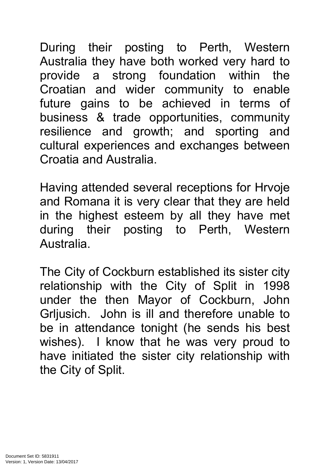During their posting to Perth, Western Australia they have both worked very hard to provide a strong foundation within the Croatian and wider community to enable future gains to be achieved in terms of business & trade opportunities, community resilience and growth; and sporting and cultural experiences and exchanges between Croatia and Australia.

Having attended several receptions for Hrvoje and Romana it is very clear that they are held in the highest esteem by all they have met during their posting to Perth, Western Australia.

The City of Cockburn established its sister city relationship with the City of Split in 1998 under the then Mayor of Cockburn, John Grljusich. John is ill and therefore unable to be in attendance tonight (he sends his best wishes). I know that he was very proud to have initiated the sister city relationship with the City of Split.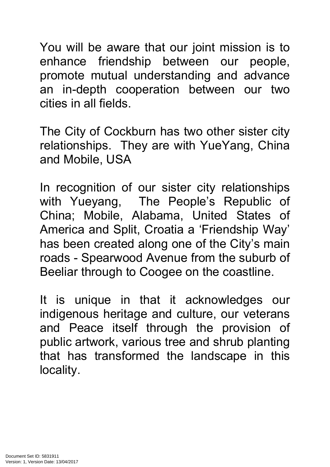You will be aware that our joint mission is to enhance friendship between our people, promote mutual understanding and advance an in-depth cooperation between our two cities in all fields.

The City of Cockburn has two other sister city relationships. They are with YueYang, China and Mobile, USA

In recognition of our sister city relationships with Yueyang, The People's Republic of China; Mobile, Alabama, United States of America and Split, Croatia a 'Friendship Way' has been created along one of the City's main roads - Spearwood Avenue from the suburb of Beeliar through to Coogee on the coastline.

It is unique in that it acknowledges our indigenous heritage and culture, our veterans and Peace itself through the provision of public artwork, various tree and shrub planting that has transformed the landscape in this locality.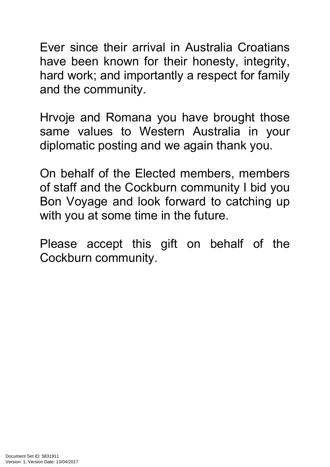Ever since their arrival in Australia Croatians have been known for their honesty, integrity, hard work; and importantly a respect for family and the community.

Hrvoje and Romana you have brought those same values to Western Australia in your diplomatic posting and we again thank you.

On behalf of the Elected members, members of staff and the Cockburn community I bid you Bon Voyage and look forward to catching up with you at some time in the future.

Please accept this gift on behalf of the Cockburn community.